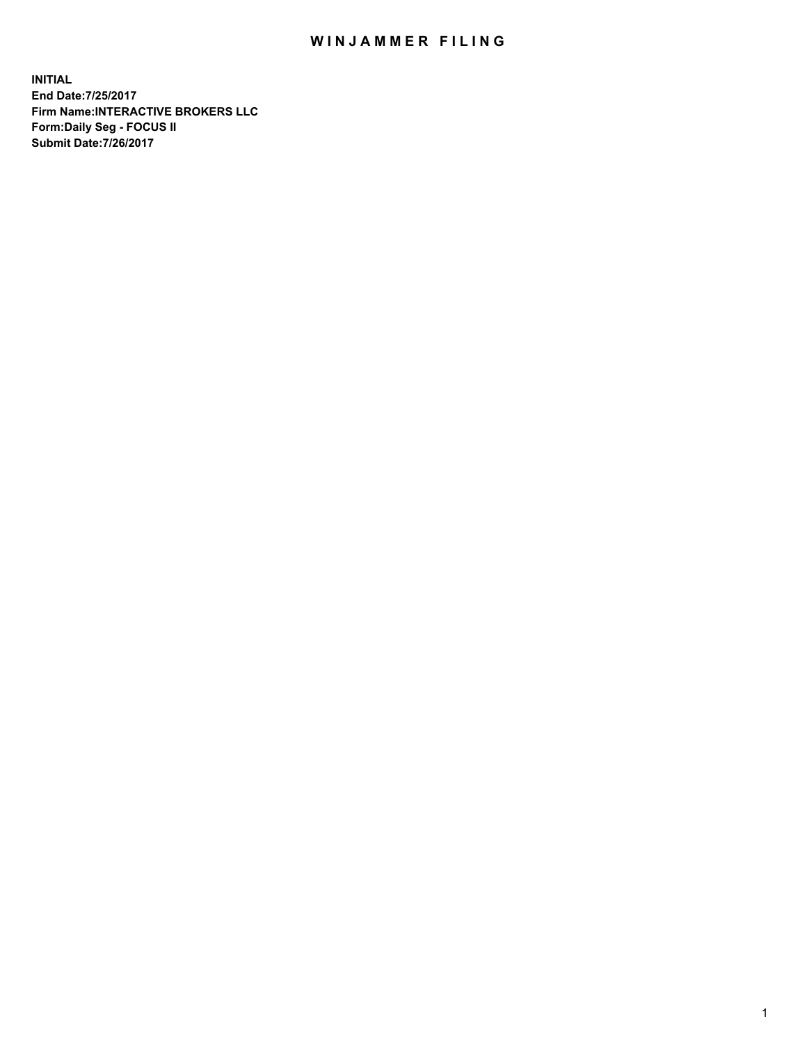## WIN JAMMER FILING

**INITIAL End Date:7/25/2017 Firm Name:INTERACTIVE BROKERS LLC Form:Daily Seg - FOCUS II Submit Date:7/26/2017**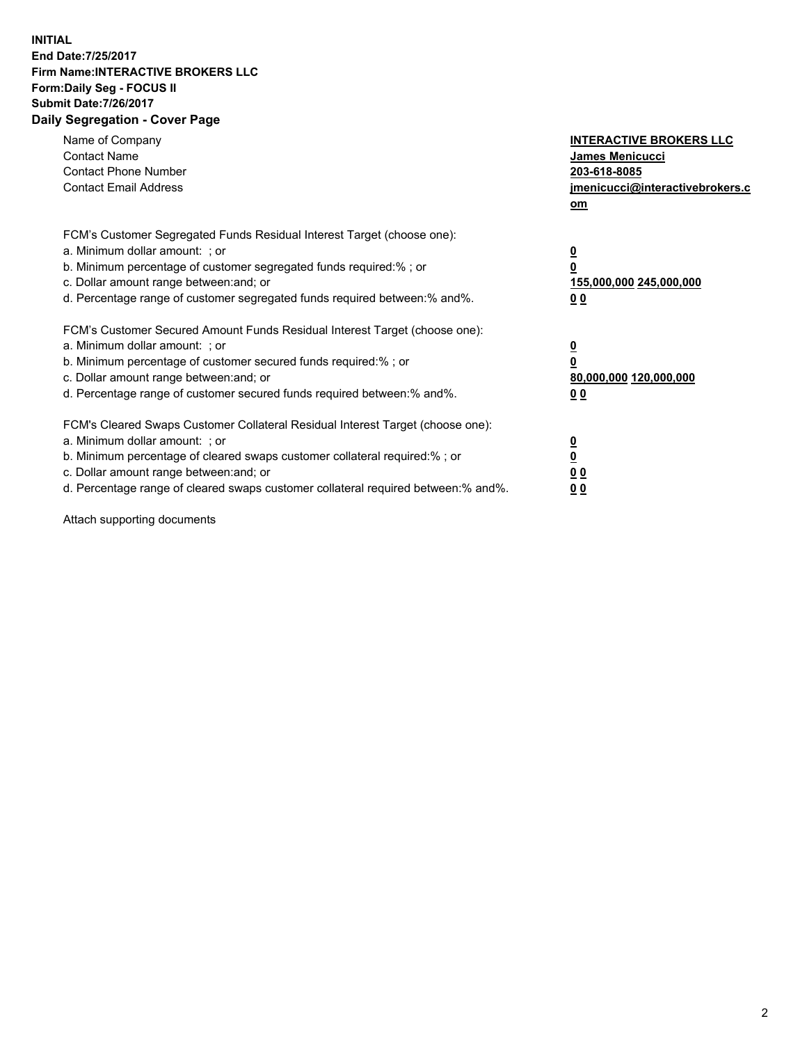## **INITIAL End Date:7/25/2017 Firm Name:INTERACTIVE BROKERS LLC Form:Daily Seg - FOCUS II Submit Date:7/26/2017 Daily Segregation - Cover Page**

| Name of Company<br><b>Contact Name</b><br><b>Contact Phone Number</b><br><b>Contact Email Address</b>                                                                                                                                                                                                                          | <b>INTERACTIVE BROKERS LLC</b><br><b>James Menicucci</b><br>203-618-8085<br>jmenicucci@interactivebrokers.c<br>om |
|--------------------------------------------------------------------------------------------------------------------------------------------------------------------------------------------------------------------------------------------------------------------------------------------------------------------------------|-------------------------------------------------------------------------------------------------------------------|
| FCM's Customer Segregated Funds Residual Interest Target (choose one):<br>a. Minimum dollar amount: ; or<br>b. Minimum percentage of customer segregated funds required:% ; or<br>c. Dollar amount range between: and; or<br>d. Percentage range of customer segregated funds required between:% and%.                         | $\overline{\mathbf{0}}$<br>0<br><u>155,000,000 245,000,000</u><br><u>00</u>                                       |
| FCM's Customer Secured Amount Funds Residual Interest Target (choose one):<br>a. Minimum dollar amount: ; or<br>b. Minimum percentage of customer secured funds required:%; or<br>c. Dollar amount range between: and; or<br>d. Percentage range of customer secured funds required between:% and%.                            | $\overline{\mathbf{0}}$<br>$\overline{\mathbf{0}}$<br>80,000,000 120,000,000<br>00                                |
| FCM's Cleared Swaps Customer Collateral Residual Interest Target (choose one):<br>a. Minimum dollar amount: ; or<br>b. Minimum percentage of cleared swaps customer collateral required:% ; or<br>c. Dollar amount range between: and; or<br>d. Percentage range of cleared swaps customer collateral required between:% and%. | $\underline{\mathbf{0}}$<br>$\underline{\mathbf{0}}$<br>0 <sub>0</sub><br>0 <sub>0</sub>                          |

Attach supporting documents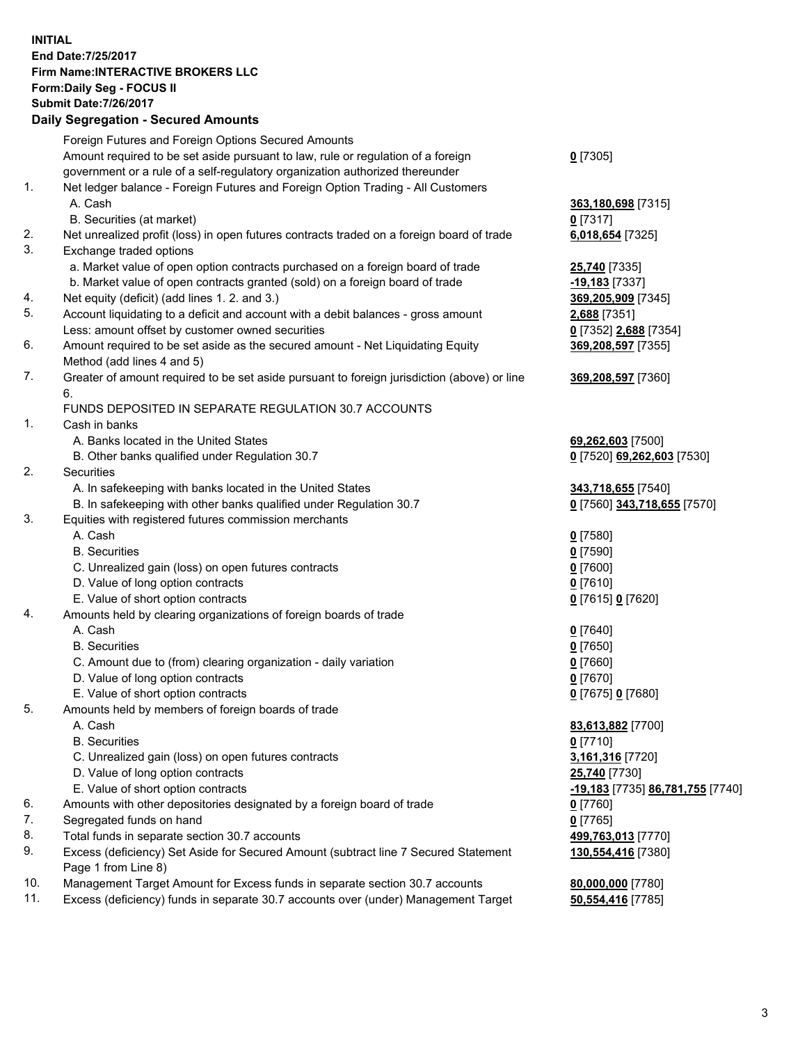## **INITIAL End Date:7/25/2017 Firm Name:INTERACTIVE BROKERS LLC Form:Daily Seg - FOCUS II Submit Date:7/26/2017 Daily Segregation - Secured Amounts**

|     | Daily Segregation - Secured Amounts                                                         |                                  |
|-----|---------------------------------------------------------------------------------------------|----------------------------------|
|     | Foreign Futures and Foreign Options Secured Amounts                                         |                                  |
|     | Amount required to be set aside pursuant to law, rule or regulation of a foreign            | $0$ [7305]                       |
|     | government or a rule of a self-regulatory organization authorized thereunder                |                                  |
| 1.  |                                                                                             |                                  |
|     | Net ledger balance - Foreign Futures and Foreign Option Trading - All Customers             |                                  |
|     | A. Cash                                                                                     | 363,180,698 [7315]               |
|     | B. Securities (at market)                                                                   | $0$ [7317]                       |
| 2.  | Net unrealized profit (loss) in open futures contracts traded on a foreign board of trade   | 6,018,654 [7325]                 |
| 3.  | Exchange traded options                                                                     |                                  |
|     | a. Market value of open option contracts purchased on a foreign board of trade              | 25,740 [7335]                    |
|     | b. Market value of open contracts granted (sold) on a foreign board of trade                | -19,183 [7337]                   |
| 4.  | Net equity (deficit) (add lines 1. 2. and 3.)                                               | 369,205,909 [7345]               |
| 5.  | Account liquidating to a deficit and account with a debit balances - gross amount           | 2,688 [7351]                     |
|     | Less: amount offset by customer owned securities                                            | 0 [7352] 2,688 [7354]            |
| 6.  | Amount required to be set aside as the secured amount - Net Liquidating Equity              | 369,208,597 [7355]               |
|     | Method (add lines 4 and 5)                                                                  |                                  |
|     |                                                                                             |                                  |
| 7.  | Greater of amount required to be set aside pursuant to foreign jurisdiction (above) or line | 369,208,597 [7360]               |
|     | 6.                                                                                          |                                  |
|     | FUNDS DEPOSITED IN SEPARATE REGULATION 30.7 ACCOUNTS                                        |                                  |
| 1.  | Cash in banks                                                                               |                                  |
|     | A. Banks located in the United States                                                       | 69,262,603 [7500]                |
|     | B. Other banks qualified under Regulation 30.7                                              | 0 [7520] 69,262,603 [7530]       |
| 2.  | Securities                                                                                  |                                  |
|     | A. In safekeeping with banks located in the United States                                   | 343,718,655 [7540]               |
|     | B. In safekeeping with other banks qualified under Regulation 30.7                          | 0 [7560] 343,718,655 [7570]      |
| 3.  | Equities with registered futures commission merchants                                       |                                  |
|     | A. Cash                                                                                     | $0$ [7580]                       |
|     | <b>B.</b> Securities                                                                        | $0$ [7590]                       |
|     | C. Unrealized gain (loss) on open futures contracts                                         | $0$ [7600]                       |
|     | D. Value of long option contracts                                                           | $0$ [7610]                       |
|     |                                                                                             |                                  |
|     | E. Value of short option contracts                                                          | 0 [7615] 0 [7620]                |
| 4.  | Amounts held by clearing organizations of foreign boards of trade                           |                                  |
|     | A. Cash                                                                                     | $0$ [7640]                       |
|     | <b>B.</b> Securities                                                                        | $0$ [7650]                       |
|     | C. Amount due to (from) clearing organization - daily variation                             | $0$ [7660]                       |
|     | D. Value of long option contracts                                                           | $0$ [7670]                       |
|     | E. Value of short option contracts                                                          | 0 [7675] 0 [7680]                |
| 5.  | Amounts held by members of foreign boards of trade                                          |                                  |
|     | A. Cash                                                                                     | 83,613,882 [7700]                |
|     | <b>B.</b> Securities                                                                        | $0$ [7710]                       |
|     | C. Unrealized gain (loss) on open futures contracts                                         | 3,161,316 [7720]                 |
|     | D. Value of long option contracts                                                           | 25,740 [7730]                    |
|     | E. Value of short option contracts                                                          | -19,183 [7735] 86,781,755 [7740] |
| 6.  | Amounts with other depositories designated by a foreign board of trade                      | 0 [7760]                         |
| 7.  | Segregated funds on hand                                                                    | $0$ [7765]                       |
| 8.  | Total funds in separate section 30.7 accounts                                               | 499,763,013 [7770]               |
| 9.  | Excess (deficiency) Set Aside for Secured Amount (subtract line 7 Secured Statement         |                                  |
|     |                                                                                             | 130,554,416 [7380]               |
|     | Page 1 from Line 8)                                                                         |                                  |
| 10. | Management Target Amount for Excess funds in separate section 30.7 accounts                 | 80,000,000 [7780]                |
| 11. | Excess (deficiency) funds in separate 30.7 accounts over (under) Management Target          | 50,554,416 [7785]                |
|     |                                                                                             |                                  |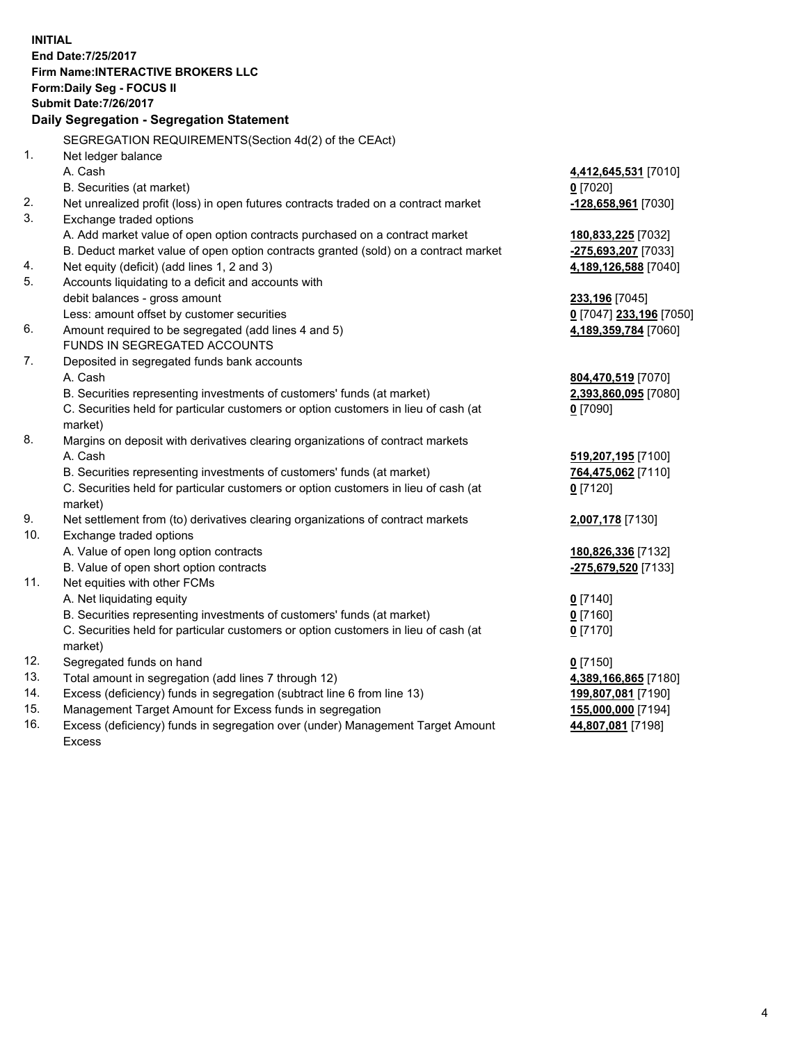**INITIAL End Date:7/25/2017 Firm Name:INTERACTIVE BROKERS LLC Form:Daily Seg - FOCUS II Submit Date:7/26/2017 Daily Segregation - Segregation Statement** SEGREGATION REQUIREMENTS(Section 4d(2) of the CEAct) 1. Net ledger balance A. Cash **4,412,645,531** [7010] B. Securities (at market) **0** [7020] 2. Net unrealized profit (loss) in open futures contracts traded on a contract market **-128,658,961** [7030] 3. Exchange traded options A. Add market value of open option contracts purchased on a contract market **180,833,225** [7032] B. Deduct market value of open option contracts granted (sold) on a contract market **-275,693,207** [7033] 4. Net equity (deficit) (add lines 1, 2 and 3) **4,189,126,588** [7040] 5. Accounts liquidating to a deficit and accounts with debit balances - gross amount **233,196** [7045] Less: amount offset by customer securities **0** [7047] **233,196** [7050] 6. Amount required to be segregated (add lines 4 and 5) **4,189,359,784** [7060] FUNDS IN SEGREGATED ACCOUNTS 7. Deposited in segregated funds bank accounts A. Cash **804,470,519** [7070] B. Securities representing investments of customers' funds (at market) **2,393,860,095** [7080] C. Securities held for particular customers or option customers in lieu of cash (at market) **0** [7090] 8. Margins on deposit with derivatives clearing organizations of contract markets A. Cash **519,207,195** [7100] B. Securities representing investments of customers' funds (at market) **764,475,062** [7110] C. Securities held for particular customers or option customers in lieu of cash (at market) **0** [7120] 9. Net settlement from (to) derivatives clearing organizations of contract markets **2,007,178** [7130] 10. Exchange traded options A. Value of open long option contracts **180,826,336** [7132] B. Value of open short option contracts **-275,679,520** [7133] 11. Net equities with other FCMs A. Net liquidating equity **0** [7140] B. Securities representing investments of customers' funds (at market) **0** [7160] C. Securities held for particular customers or option customers in lieu of cash (at market) **0** [7170] 12. Segregated funds on hand **0** [7150] 13. Total amount in segregation (add lines 7 through 12) **4,389,166,865** [7180] 14. Excess (deficiency) funds in segregation (subtract line 6 from line 13) **199,807,081** [7190] 15. Management Target Amount for Excess funds in segregation **155,000,000** [7194]

16. Excess (deficiency) funds in segregation over (under) Management Target Amount Excess

**44,807,081** [7198]